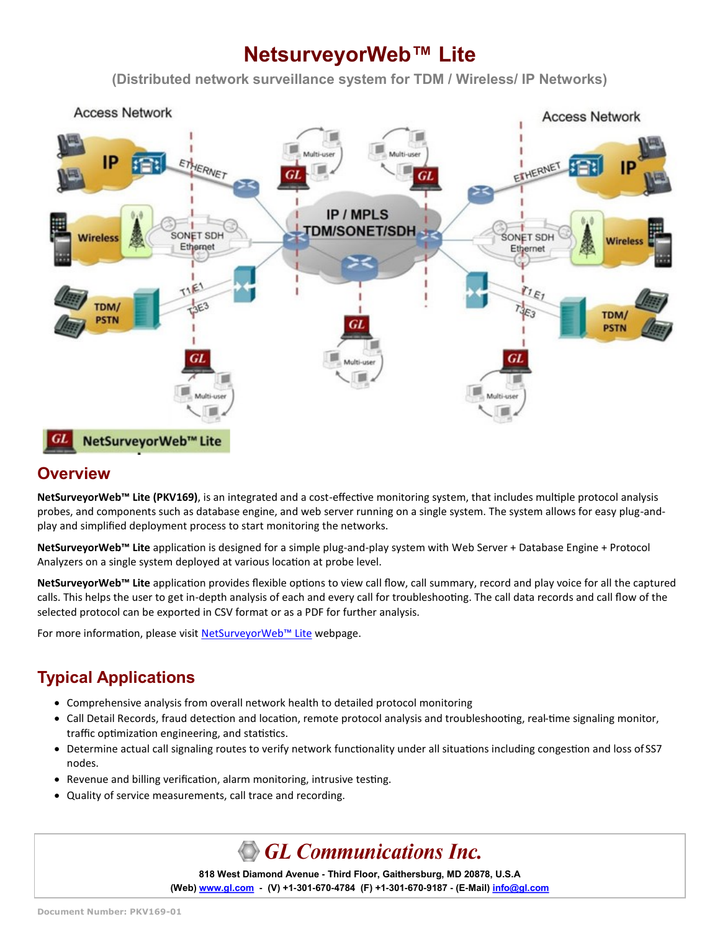# **NetsurveyorWeb™ Lite**

**(Distributed network surveillance system for TDM / Wireless/ IP Networks)** 



### **Overview**

**NetSurveyorWeb™ Lite (PKV169)**, is an integrated and a cost-effective monitoring system, that includes multiple protocol analysis probes, and components such as database engine, and web server running on a single system. The system allows for easy plug-andplay and simplified deployment process to start monitoring the networks.

**NetSurveyorWeb™ Lite** application is designed for a simple plug-and-play system with Web Server + Database Engine + Protocol Analyzers on a single system deployed at various location at probe level.

**NetSurveyorWeb™ Lite** application provides flexible options to view call flow, call summary, record and play voice for all the captured calls. This helps the user to get in-depth analysis of each and every call for troubleshooting. The call data records and call flow of the selected protocol can be exported in CSV format or as a PDF for further analysis.

For more information, please visit [NetSurveyorWeb](https://www.gl.com/web-based-network-monitor-analysis-wireless-ip-tdm.html)™ Lite webpage.

# **Typical Applications**

- Comprehensive analysis from overall network health to detailed protocol monitoring
- Call Detail Records, fraud detection and location, remote protocol analysis and troubleshooting, real-time signaling monitor, traffic optimization engineering, and statistics.
- Determine actual call signaling routes to verify network functionality under all situations including congestion and loss of SS7 nodes.
- Revenue and billing verification, alarm monitoring, intrusive testing.
- Quality of service measurements, call trace and recording.

# **GL Communications Inc.**

**818 West Diamond Avenue - Third Floor, Gaithersburg, MD 20878, U.S.A (Web) [www.gl.com](https://www.gl.com) - (V) +1-301-670-4784 (F) +1-301-670-9187 - (E-Mail) [info@gl.com](https://www.gl.com/inforequestform.php)**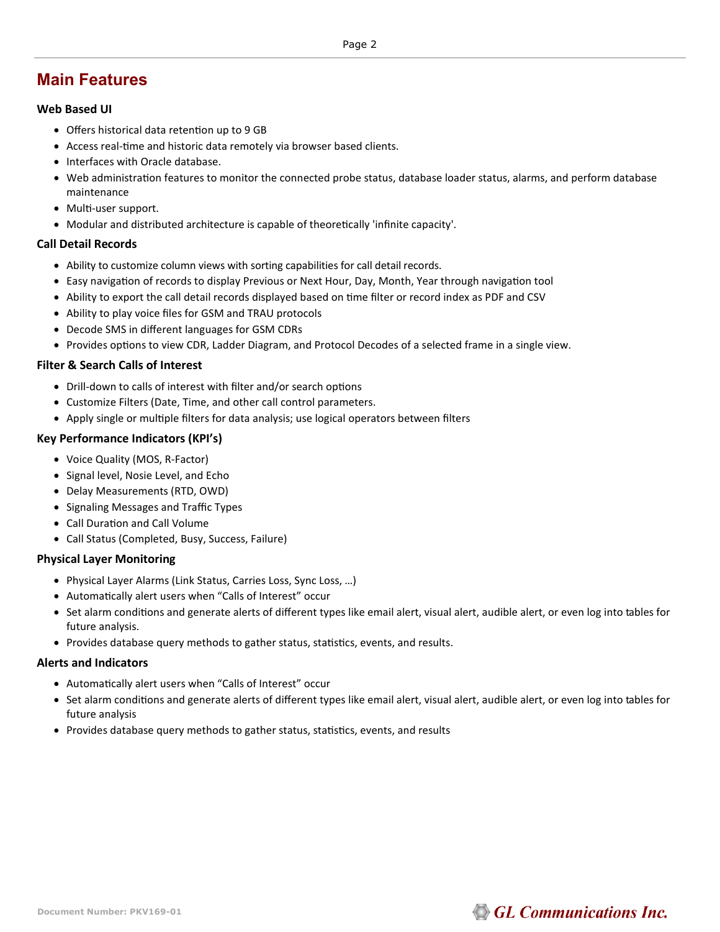### **Main Features**

#### **Web Based UI**

- Offers historical data retention up to 9 GB
- Access real-time and historic data remotely via browser based clients.
- Interfaces with Oracle database.
- Web administration features to monitor the connected probe status, database loader status, alarms, and perform database maintenance
- Multi-user support.
- Modular and distributed architecture is capable of theoretically 'infinite capacity'.

#### **Call Detail Records**

- Ability to customize column views with sorting capabilities for call detail records.
- Easy navigation of records to display Previous or Next Hour, Day, Month, Year through navigation tool
- Ability to export the call detail records displayed based on time filter or record index as PDF and CSV
- Ability to play voice files for GSM and TRAU protocols
- Decode SMS in different languages for GSM CDRs
- Provides options to view CDR, Ladder Diagram, and Protocol Decodes of a selected frame in a single view.

#### **Filter & Search Calls of Interest**

- Drill-down to calls of interest with filter and/or search options
- Customize Filters (Date, Time, and other call control parameters.
- Apply single or multiple filters for data analysis; use logical operators between filters

#### **Key Performance Indicators (KPI's)**

- Voice Quality (MOS, R-Factor)
- Signal level, Nosie Level, and Echo
- Delay Measurements (RTD, OWD)
- Signaling Messages and Traffic Types
- Call Duration and Call Volume
- Call Status (Completed, Busy, Success, Failure)

#### **Physical Layer Monitoring**

- Physical Layer Alarms (Link Status, Carries Loss, Sync Loss, …)
- Automatically alert users when "Calls of Interest" occur
- Set alarm conditions and generate alerts of different types like email alert, visual alert, audible alert, or even log into tables for future analysis.
- Provides database query methods to gather status, statistics, events, and results.

#### **Alerts and Indicators**

- Automatically alert users when "Calls of Interest" occur
- Set alarm conditions and generate alerts of different types like email alert, visual alert, audible alert, or even log into tables for future analysis
- Provides database query methods to gather status, statistics, events, and results

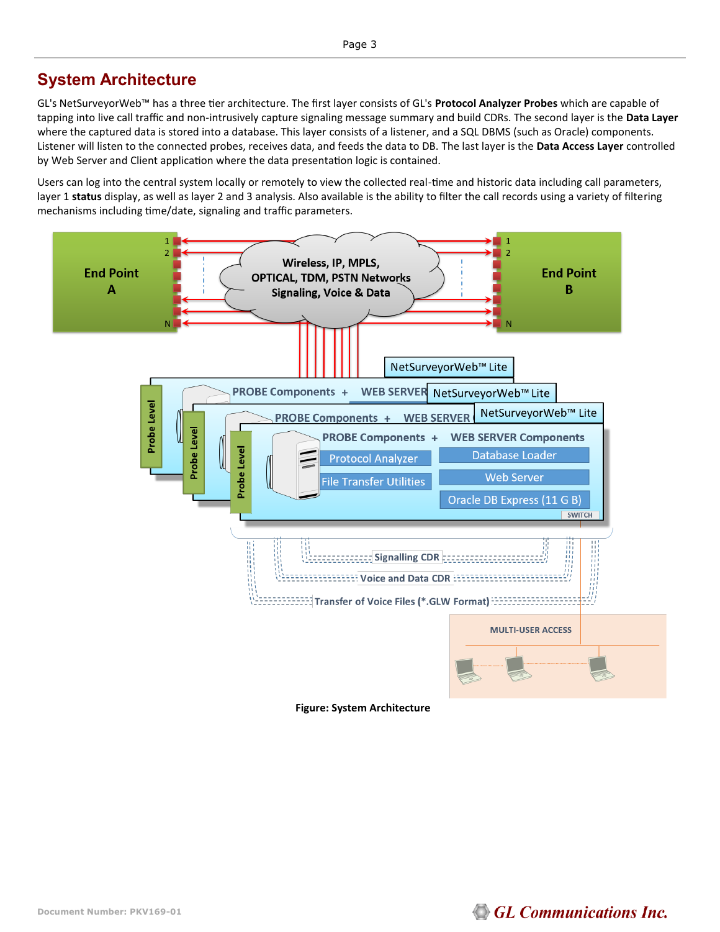### **System Architecture**

GL's NetSurveyorWeb™ has a three tier architecture. The first layer consists of GL's **Protocol Analyzer Probes** which are capable of tapping into live call traffic and non-intrusively capture signaling message summary and build CDRs. The second layer is the **Data Layer**  where the captured data is stored into a database. This layer consists of a listener, and a SQL DBMS (such as Oracle) components. Listener will listen to the connected probes, receives data, and feeds the data to DB. The last layer is the **Data Access Layer** controlled by Web Server and Client application where the data presentation logic is contained.

Users can log into the central system locally or remotely to view the collected real-time and historic data including call parameters, layer 1 **status** display, as well as layer 2 and 3 analysis. Also available is the ability to filter the call records using a variety of filtering mechanisms including time/date, signaling and traffic parameters.

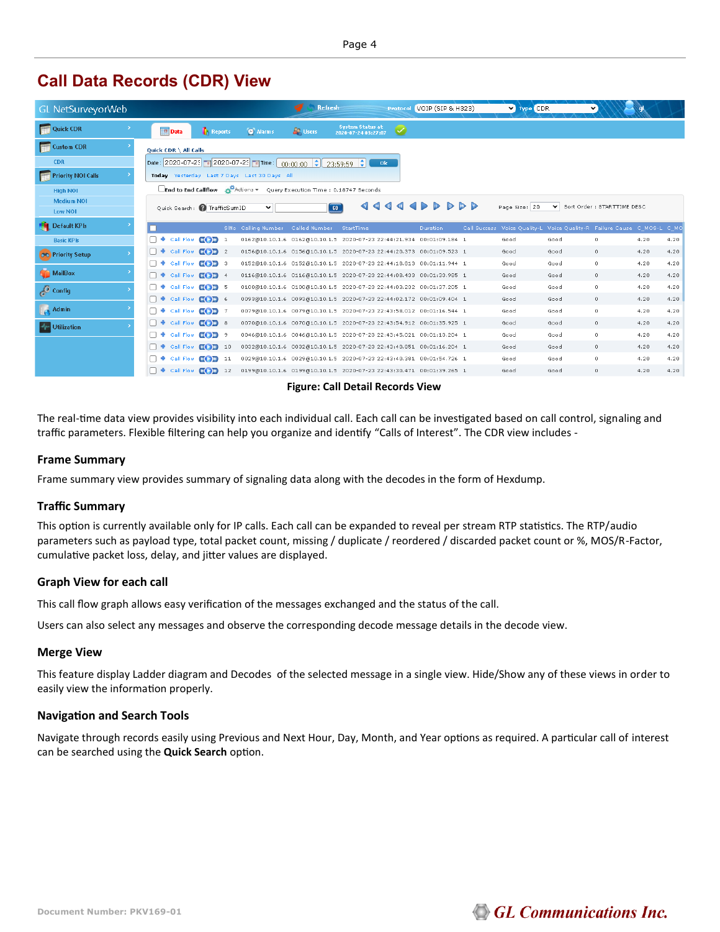## **Call Data Records (CDR) View**

| GL NetSurveyorWeb         |                                                                                                                                                                         | <b>Refresh</b>                                                       | Protocol VOIP (SIP & H323)                                                                                                                                                                                                                                                                                                                                                                                                                            | V Type CDR                                                              | v                          |
|---------------------------|-------------------------------------------------------------------------------------------------------------------------------------------------------------------------|----------------------------------------------------------------------|-------------------------------------------------------------------------------------------------------------------------------------------------------------------------------------------------------------------------------------------------------------------------------------------------------------------------------------------------------------------------------------------------------------------------------------------------------|-------------------------------------------------------------------------|----------------------------|
| Quick CDR                 | <b>Data</b><br><b>Reports</b><br><b>C</b> Alarms                                                                                                                        | <b>System Status at</b><br><b>A</b> Users<br>2020-07-24 03:27:07     | $\bm\omega$                                                                                                                                                                                                                                                                                                                                                                                                                                           |                                                                         |                            |
| <b>Custom CDR</b>         | <b>Ouick CDR \ All Calls</b>                                                                                                                                            |                                                                      |                                                                                                                                                                                                                                                                                                                                                                                                                                                       |                                                                         |                            |
| <b>CDR</b>                | Date: 2020-07-23 a 2020-07-23 a Time: $\begin{bmatrix} 0.000000 & -\frac{1}{2} \\ 0.00000 & -\frac{1}{2} \end{bmatrix}$ 23:59:59 $\begin{bmatrix} 2 \\ 2 \end{bmatrix}$ |                                                                      | 0k                                                                                                                                                                                                                                                                                                                                                                                                                                                    |                                                                         |                            |
| <b>Priority NOI Calls</b> | Today Yesterday Last 7 Days Last 30 Days All                                                                                                                            |                                                                      |                                                                                                                                                                                                                                                                                                                                                                                                                                                       |                                                                         |                            |
| <b>High NOI</b>           | End to End Callflow & Actions v Query Execution Time : 0.18747 Seconds                                                                                                  |                                                                      |                                                                                                                                                                                                                                                                                                                                                                                                                                                       |                                                                         |                            |
| <b>Medium NOI</b>         | Quick Search: nafficSumID<br>◡                                                                                                                                          | ∢ ∢<br>$\sqrt{60}$                                                   | $\begin{array}{c c c c c c} \hline \multicolumn{1}{c }{\textbf{d}} & \multicolumn{1}{c }{\textbf{d}} & \multicolumn{1}{c }{\textbf{b}} & \multicolumn{1}{c }{\textbf{b}} & \multicolumn{1}{c }{\textbf{b}} & \multicolumn{1}{c }{\textbf{b}} & \multicolumn{1}{c }{\textbf{b}} & \multicolumn{1}{c }{\textbf{b}} & \multicolumn{1}{c }{\textbf{b}} & \multicolumn{1}{c }{\textbf{b}} & \multicolumn{1}{c }{\textbf{b}} & \multicolumn{1}{c }{\textbf$ | Page Size: 20<br>$\checkmark$                                           | Sort Order: STARTTIME DESC |
| Low NOI                   |                                                                                                                                                                         |                                                                      |                                                                                                                                                                                                                                                                                                                                                                                                                                                       |                                                                         |                            |
| Default KPIs              | SINo Calling Number Called Number                                                                                                                                       | StartTime                                                            | Duration:                                                                                                                                                                                                                                                                                                                                                                                                                                             | Call Success Voice Quality-L Voice Quality-R Failure Cause C_MOS-L C_MO |                            |
| <b>Basic KPIs</b>         | $E$ $E$ $E$ $i$ $i$<br><b>Call Flow</b>                                                                                                                                 | 0162@10.10.1.6 0162@10.10.1.5 2020-07-23 22:44:21.934 00:01:09.184 1 |                                                                                                                                                                                                                                                                                                                                                                                                                                                       | Good<br>Good                                                            | $\circ$<br>4.20<br>4.20    |
| OC Priority Setup         | $E$ $E$ $E$ $i$ 2<br>Call Flow                                                                                                                                          | 0156@10.10.1.6 0156@10.10.1.5 2020-07-23 22:44:20.373 00:01:09.523 1 |                                                                                                                                                                                                                                                                                                                                                                                                                                                       | Good<br>Good                                                            | $\circ$<br>4.20<br>4.20    |
|                           | $C$ $D$ 3<br><b>Call Flow</b>                                                                                                                                           | 0152@10.10.1.6 0152@10.10.1.5 2020-07-23 22:44:18.813 00:01:11.944 1 |                                                                                                                                                                                                                                                                                                                                                                                                                                                       | Good<br>Good                                                            | $\circ$<br>4.20<br>4.20    |
| MailBox                   | Call Flow<br>COD 4                                                                                                                                                      | 0116@10.10.1.6 0116@10.10.1.5 2020-07-23 22:44:08.433 00:01:33.985 1 |                                                                                                                                                                                                                                                                                                                                                                                                                                                       | Good<br>Good                                                            | 4.20<br>$\circ$<br>4.20    |
| Config                    | $E$ ( $E$ ) 5<br><b>Call Flow</b>                                                                                                                                       | 0100@10.10.1.6 0100@10.10.1.5 2020-07-23 22:44:03.232 00:01:37.205 1 |                                                                                                                                                                                                                                                                                                                                                                                                                                                       | Good<br>Good                                                            | 4.20<br>4.20<br>$\circ$    |
|                           | COD 6<br><b>Call Flow</b>                                                                                                                                               | 0093@10.10.1.6 0093@10.10.1.5 2020-07-23 22:44:02.172 00:01:09.404 1 |                                                                                                                                                                                                                                                                                                                                                                                                                                                       | Good<br>Good                                                            | 4.20<br>4.20<br>$\circ$    |
| Admin                     | $E$ $E$ $E$ $T$<br><b>+</b> Call Flow                                                                                                                                   | 0079@10.10.1.6 0079@10.10.1.5 2020-07-23 22:43:58.012 00:01:16.544 1 |                                                                                                                                                                                                                                                                                                                                                                                                                                                       | Good<br>Good                                                            | $\circ$<br>4.20<br>4.20    |
| <b>W</b> Utilization      | + Call Flow <b>COD</b> 8                                                                                                                                                | 0070@10.10.1.6 0070@10.10.1.5 2020-07-23 22:43:54.912 00:01:35.925 1 |                                                                                                                                                                                                                                                                                                                                                                                                                                                       | Good<br>Good                                                            | 4.20<br>$\circ$<br>4.20    |
|                           | $E$ $E$ $E$ $3$<br><b>+</b> Call Flow                                                                                                                                   | 0046@10.10.1.6 0046@10.10.1.5 2020-07-23 22:43:45.021 00:01:13.204 1 |                                                                                                                                                                                                                                                                                                                                                                                                                                                       | Good<br>Good                                                            | $\circ$<br>4.20<br>4.20    |
|                           | Call Flow<br>COD 10                                                                                                                                                     | 0032@10.10.1.6 0032@10.10.1.5 2020-07-23 22:43:40.851 00:01:16.204 1 |                                                                                                                                                                                                                                                                                                                                                                                                                                                       | Good<br>Good                                                            | 4.20<br>4.20<br>$\circ$    |
|                           | <b>Call Flow</b><br>E(D)<br>11                                                                                                                                          | 0029@10.10.1.6 0029@10.10.1.5 2020-07-23 22:43:40.381 00:01:54.726 1 |                                                                                                                                                                                                                                                                                                                                                                                                                                                       | Good<br>Good                                                            | $\circ$<br>4.20<br>4.20    |
|                           | $\bullet$ Call Flow $C$ $D$ 12                                                                                                                                          | 0199@10.10.1.6 0199@10.10.1.5 2020-07-23 22:43:30.471 00:01:39.265 1 |                                                                                                                                                                                                                                                                                                                                                                                                                                                       | Good<br>Good                                                            | 4.20<br>4.20<br>$\circ$    |

**Figure: Call Detail Records View**

The real-time data view provides visibility into each individual call. Each call can be investigated based on call control, signaling and traffic parameters. Flexible filtering can help you organize and identify "Calls of Interest". The CDR view includes -

#### **Frame Summary**

Frame summary view provides summary of signaling data along with the decodes in the form of Hexdump.

#### **Traffic Summary**

This option is currently available only for IP calls. Each call can be expanded to reveal per stream RTP statistics. The RTP/audio parameters such as payload type, total packet count, missing / duplicate / reordered / discarded packet count or %, MOS/R-Factor, cumulative packet loss, delay, and jitter values are displayed.

#### **Graph View for each call**

This call flow graph allows easy verification of the messages exchanged and the status of the call.

Users can also select any messages and observe the corresponding decode message details in the decode view.

#### **Merge View**

This feature display Ladder diagram and Decodes of the selected message in a single view. Hide/Show any of these views in order to easily view the information properly.

#### **Navigation and Search Tools**

Navigate through records easily using Previous and Next Hour, Day, Month, and Year options as required. A particular call of interest can be searched using the **Quick Search** option.

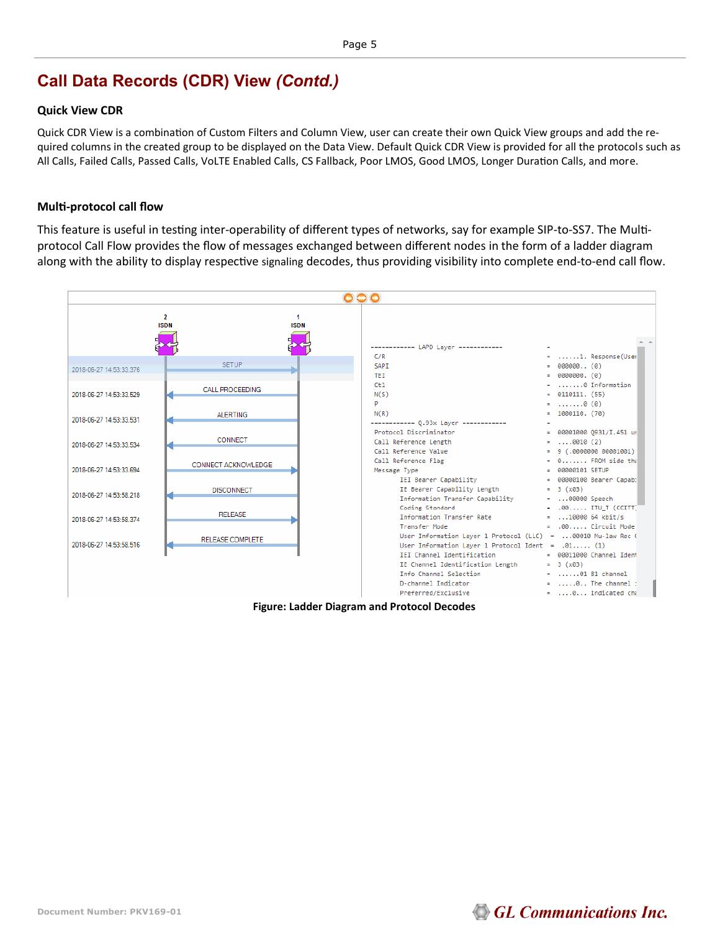### **Call Data Records (CDR) View** *(Contd.)*

#### **Quick View CDR**

Quick CDR View is a combination of Custom Filters and Column View, user can create their own Quick View groups and add the required columns in the created group to be displayed on the Data View. Default Quick CDR View is provided for all the protocols such as All Calls, Failed Calls, Passed Calls, VoLTE Enabled Calls, CS Fallback, Poor LMOS, Good LMOS, Longer Duration Calls, and more.

#### **Multi-protocol call flow**

This feature is useful in testing inter-operability of different types of networks, say for example SIP-to-SS7. The Multiprotocol Call Flow provides the flow of messages exchanged between different nodes in the form of a ladder diagram along with the ability to display respective signaling decodes, thus providing visibility into complete end-to-end call flow.







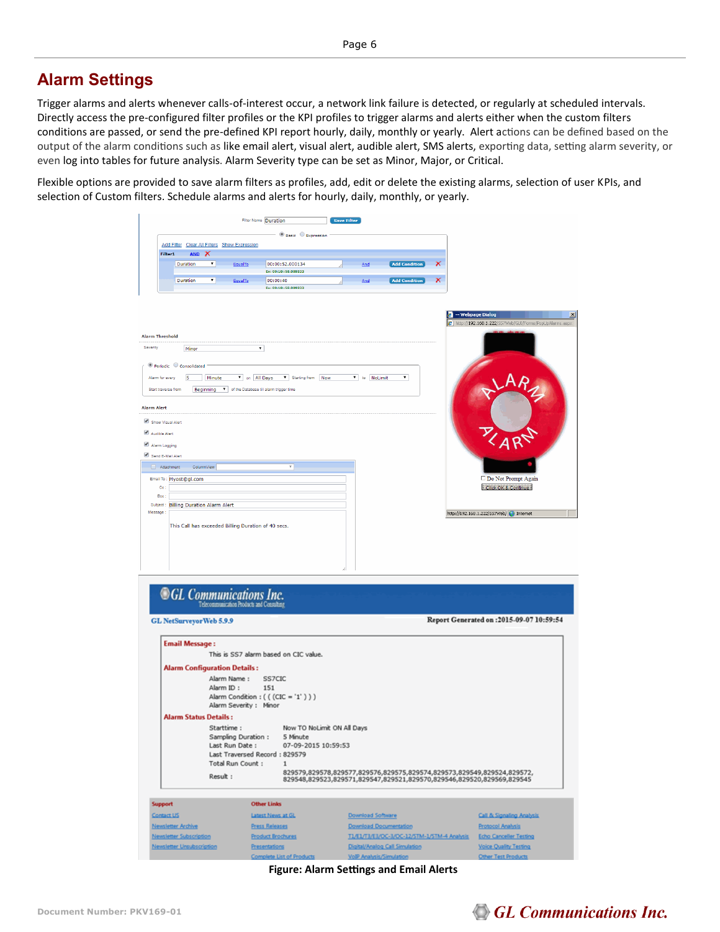### **Alarm Settings**

Trigger alarms and alerts whenever calls-of-interest occur, a network link failure is detected, or regularly at scheduled intervals. Directly access the pre-configured filter profiles or the KPI profiles to trigger alarms and alerts either when the custom filters conditions are passed, or send the pre-defined KPI report hourly, daily, monthly or yearly. Alert actions can be defined based on the output of the alarm conditions such as like email alert, visual alert, audible alert, SMS alerts, exporting data, setting alarm severity, or even log into tables for future analysis. Alarm Severity type can be set as Minor, Major, or Critical.

Flexible options are provided to save alarm filters as profiles, add, edit or delete the existing alarms, selection of user KPIs, and selection of Custom filters. Schedule alarms and alerts for hourly, daily, monthly, or yearly.

|                                                                                                                                                                                                             |                                                                                 |                          |                                                          | Filter Name Duration                                                                                                                | <b>Save Filter</b> |                          |                                             |                |                                                                                                                                                 |
|-------------------------------------------------------------------------------------------------------------------------------------------------------------------------------------------------------------|---------------------------------------------------------------------------------|--------------------------|----------------------------------------------------------|-------------------------------------------------------------------------------------------------------------------------------------|--------------------|--------------------------|---------------------------------------------|----------------|-------------------------------------------------------------------------------------------------------------------------------------------------|
|                                                                                                                                                                                                             |                                                                                 |                          |                                                          | $ \circledcirc$ Basic $\circledcirc$ Expression                                                                                     |                    |                          |                                             |                |                                                                                                                                                 |
| Filter1                                                                                                                                                                                                     | Add Filter Clear All Filters Show Expression<br>AND X                           |                          |                                                          |                                                                                                                                     |                    |                          |                                             |                |                                                                                                                                                 |
|                                                                                                                                                                                                             | Duration                                                                        | ▼∣                       | EqualTo                                                  | 00:00:52.000134                                                                                                                     |                    | And                      | <b>Add Condition</b>                        | $\pmb{\times}$ |                                                                                                                                                 |
|                                                                                                                                                                                                             | Duration                                                                        | ▾                        | EqualTo                                                  | Ex: 00:10::58.009333<br>00:00:40                                                                                                    |                    | And                      | <b>Add Condition</b>                        | $\pmb{\times}$ |                                                                                                                                                 |
|                                                                                                                                                                                                             |                                                                                 |                          |                                                          | Ex: 00:10::58.009333                                                                                                                |                    |                          |                                             |                |                                                                                                                                                 |
| <b>Alarm Threshold</b><br>Severity<br>Alarm for every<br>Start traverse from<br><b>Alarm Alert</b><br>Show Visual Alert<br>Audible Alert<br>Alarm Logging<br>Send E-Mail Alert<br>Attachment<br>Cc:<br>Boo: | Minor<br>● Periodic ● Consolidated<br>5<br>ColumnView<br>Email To: Myost@gl.com | Minute                   |                                                          | $\mathbf{v}$<br>v on All Days v Starting from Now<br>Beginning v of the Database till alarm trigger time<br>$\overline{\mathbf{v}}$ |                    | v to NoLimit             | ▼                                           |                | 4 -- Webpage Dialog<br>$\epsilon$ http://192.168.1.222/557Web/GUI/Forms/PopUpAlarms.aspx<br>Do Not Prompt Again<br>Click OK & Continue          |
| Message                                                                                                                                                                                                     | This Call has exceeded Billing Duration of 40 secs.                             |                          |                                                          |                                                                                                                                     |                    |                          |                                             |                | http://192.168.1.222/557Web/ Dinternet                                                                                                          |
|                                                                                                                                                                                                             | <b>GL</b> Communications Inc.<br>GL NetSurveyor Web 5.9.9                       |                          | Telecommunication Products and Consulting                |                                                                                                                                     |                    |                          |                                             |                | Report Generated on : 2015-09-07 10:59:54                                                                                                       |
|                                                                                                                                                                                                             | <b>Email Message:</b>                                                           |                          |                                                          |                                                                                                                                     |                    |                          |                                             |                |                                                                                                                                                 |
|                                                                                                                                                                                                             | <b>Alarm Configuration Details:</b>                                             | Alarm Name:<br>Alarm ID: | Alarm Severity: Minor                                    | This is SS7 alarm based on CIC value.<br>SS7CIC<br>151<br>Alarm Condition : ( ( (CIC = '1' ) ) )                                    |                    |                          |                                             |                |                                                                                                                                                 |
|                                                                                                                                                                                                             | <b>Alarm Status Details:</b>                                                    |                          |                                                          |                                                                                                                                     |                    |                          |                                             |                |                                                                                                                                                 |
|                                                                                                                                                                                                             |                                                                                 | Starttime:<br>Result:    | Sampling Duration:<br>Last Run Date:<br>Total Run Count: | Now TO NoLimit ON All Days<br>5 Minute<br>07-09-2015 10:59:53<br>Last Traversed Record: 829579<br>1                                 |                    |                          |                                             |                | 829579,829578,829577,829576,829575,829574,829573,829549,829524,829572,<br>829548,829523,829571,829547,829521,829570,829546,829520,829569,829545 |
|                                                                                                                                                                                                             |                                                                                 |                          |                                                          |                                                                                                                                     |                    |                          |                                             |                |                                                                                                                                                 |
| <b>Support</b>                                                                                                                                                                                              |                                                                                 |                          |                                                          | <b>Other Links</b>                                                                                                                  |                    |                          |                                             |                |                                                                                                                                                 |
| Contact US                                                                                                                                                                                                  |                                                                                 |                          |                                                          | Latest News at GL                                                                                                                   |                    | <b>Download Software</b> |                                             |                | Call & Signaling Analysis                                                                                                                       |
|                                                                                                                                                                                                             | <b>Newsletter Archive</b>                                                       |                          |                                                          | <b>Press Releases</b>                                                                                                               |                    |                          | <b>Download Documentation</b>               |                | Protocol Analysis                                                                                                                               |
|                                                                                                                                                                                                             | Newsletter Subscription                                                         |                          |                                                          | <b>Product Brochures</b>                                                                                                            |                    |                          | T1/E1/T3/E3/OC-3/OC-12/STM-1/STM-4 Analysis |                | <b>Echo Canceller Testing</b>                                                                                                                   |
|                                                                                                                                                                                                             | Newsletter Unsubscription                                                       |                          |                                                          | <b>Presentations</b>                                                                                                                |                    |                          | Digital/Analog Call Simulation              |                | Voice Quality Testing                                                                                                                           |
|                                                                                                                                                                                                             |                                                                                 |                          |                                                          | <b>Complete List of Products</b>                                                                                                    |                    |                          | VolP Analysis/Simulation                    |                | Other Test Products                                                                                                                             |

**Figure: Alarm Settings and Email Alerts**

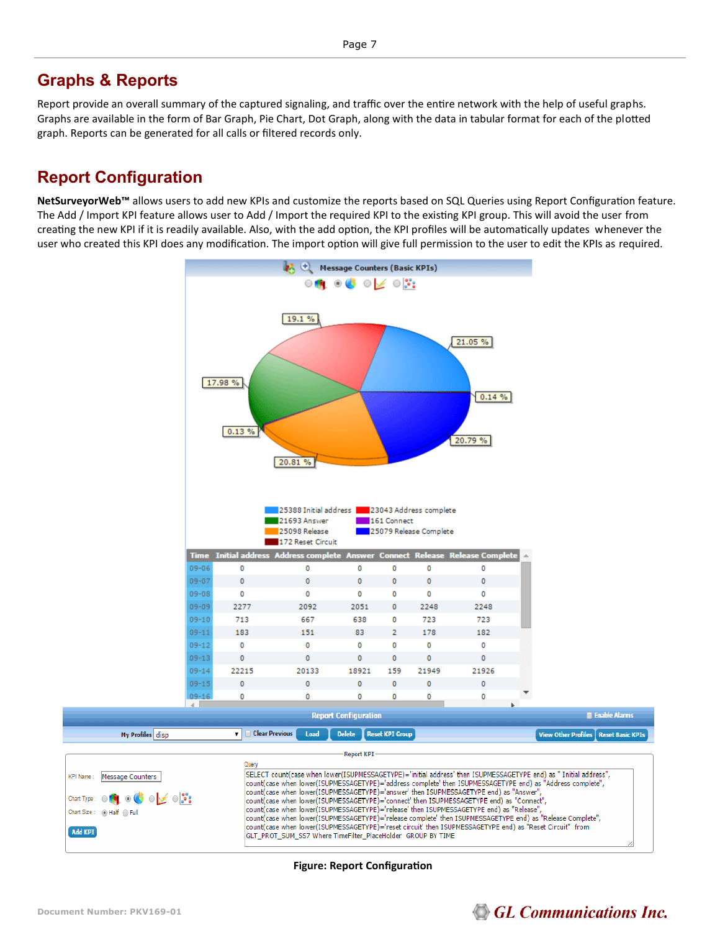### **Graphs & Reports**

Report provide an overall summary of the captured signaling, and traffic over the entire network with the help of useful graphs. Graphs are available in the form of Bar Graph, Pie Chart, Dot Graph, along with the data in tabular format for each of the plotted graph. Reports can be generated for all calls or filtered records only.

## **Report Configuration**

**NetSurveyorWeb™** allows users to add new KPIs and customize the reports based on SQL Queries using Report Configuration feature. The Add / Import KPI feature allows user to Add / Import the required KPI to the existing KPI group. This will avoid the user from creating the new KPI if it is readily available. Also, with the add option, the KPI profiles will be automatically updates whenever the user who created this KPI does any modification. The import option will give full permission to the user to edit the KPIs as required.





**Figure: Report Configuration**

# **GL Communications Inc.**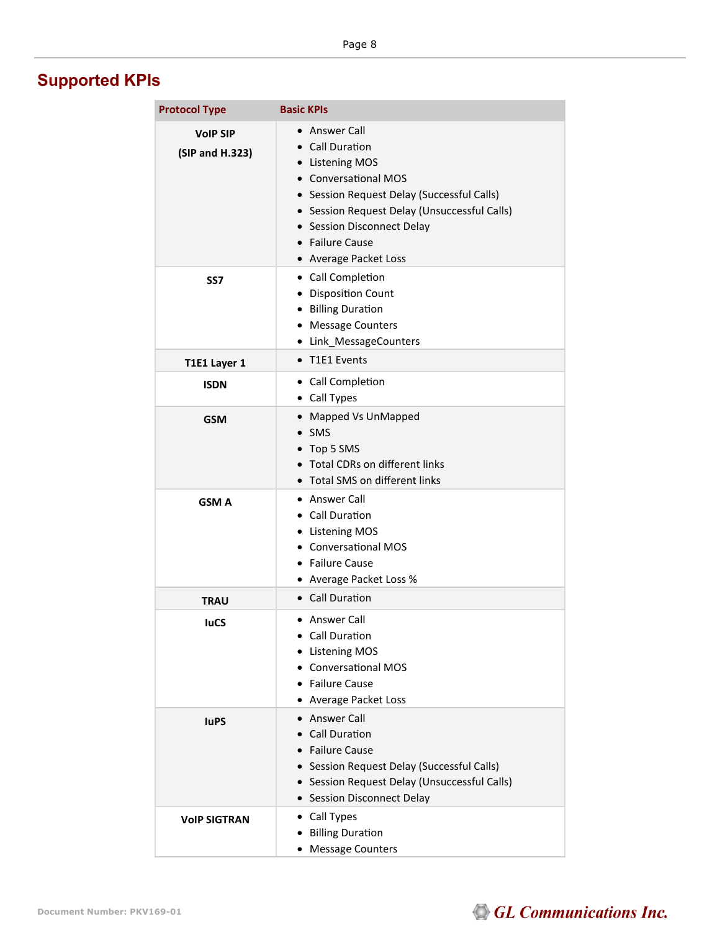# **Supported KPIs**

| <b>Protocol Type</b>               | <b>Basic KPIs</b>                                                                                                                                                                                                                                   |
|------------------------------------|-----------------------------------------------------------------------------------------------------------------------------------------------------------------------------------------------------------------------------------------------------|
| <b>VoIP SIP</b><br>(SIP and H.323) | • Answer Call<br>• Call Duration<br>• Listening MOS<br>• Conversational MOS<br>• Session Request Delay (Successful Calls)<br>• Session Request Delay (Unsuccessful Calls)<br>• Session Disconnect Delay<br>• Failure Cause<br>• Average Packet Loss |
| SS7                                | • Call Completion<br>• Disposition Count<br>• Billing Duration<br>• Message Counters<br>• Link_MessageCounters                                                                                                                                      |
| T1E1 Layer 1                       | • T1E1 Events                                                                                                                                                                                                                                       |
| <b>ISDN</b>                        | • Call Completion<br>• Call Types                                                                                                                                                                                                                   |
| <b>GSM</b>                         | • Mapped Vs UnMapped<br>$\bullet$ SMS<br>• Top 5 SMS<br>• Total CDRs on different links<br>• Total SMS on different links                                                                                                                           |
| <b>GSM A</b>                       | • Answer Call<br>• Call Duration<br>• Listening MOS<br>• Conversational MOS<br>• Failure Cause<br>• Average Packet Loss %                                                                                                                           |
| <b>TRAU</b>                        | • Call Duration                                                                                                                                                                                                                                     |
| <b>luCS</b>                        | $\bullet$ Answer Call<br>Call Duration<br><b>Listening MOS</b><br><b>Conversational MOS</b><br><b>Failure Cause</b><br>• Average Packet Loss                                                                                                        |
| <b>luPS</b>                        | • Answer Call<br>• Call Duration<br>• Failure Cause<br>• Session Request Delay (Successful Calls)<br>• Session Request Delay (Unsuccessful Calls)<br>• Session Disconnect Delay                                                                     |
| <b>VOIP SIGTRAN</b>                | • Call Types<br>• Billing Duration<br>• Message Counters                                                                                                                                                                                            |

# GL Communications Inc.